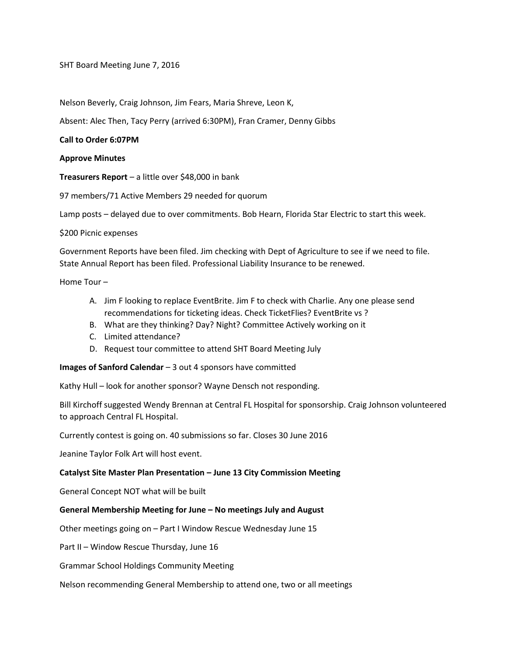SHT Board Meeting June 7, 2016

Nelson Beverly, Craig Johnson, Jim Fears, Maria Shreve, Leon K,

Absent: Alec Then, Tacy Perry (arrived 6:30PM), Fran Cramer, Denny Gibbs

#### **Call to Order 6:07PM**

### **Approve Minutes**

**Treasurers Report** – a little over \$48,000 in bank

97 members/71 Active Members 29 needed for quorum

Lamp posts – delayed due to over commitments. Bob Hearn, Florida Star Electric to start this week.

\$200 Picnic expenses

Government Reports have been filed. Jim checking with Dept of Agriculture to see if we need to file. State Annual Report has been filed. Professional Liability Insurance to be renewed.

Home Tour –

- A. Jim F looking to replace EventBrite. Jim F to check with Charlie. Any one please send recommendations for ticketing ideas. Check TicketFlies? EventBrite vs ?
- B. What are they thinking? Day? Night? Committee Actively working on it
- C. Limited attendance?
- D. Request tour committee to attend SHT Board Meeting July

**Images of Sanford Calendar** – 3 out 4 sponsors have committed

Kathy Hull – look for another sponsor? Wayne Densch not responding.

Bill Kirchoff suggested Wendy Brennan at Central FL Hospital for sponsorship. Craig Johnson volunteered to approach Central FL Hospital.

Currently contest is going on. 40 submissions so far. Closes 30 June 2016

Jeanine Taylor Folk Art will host event.

#### **Catalyst Site Master Plan Presentation – June 13 City Commission Meeting**

General Concept NOT what will be built

# **General Membership Meeting for June – No meetings July and August**

Other meetings going on – Part I Window Rescue Wednesday June 15

Part II – Window Rescue Thursday, June 16

Grammar School Holdings Community Meeting

Nelson recommending General Membership to attend one, two or all meetings